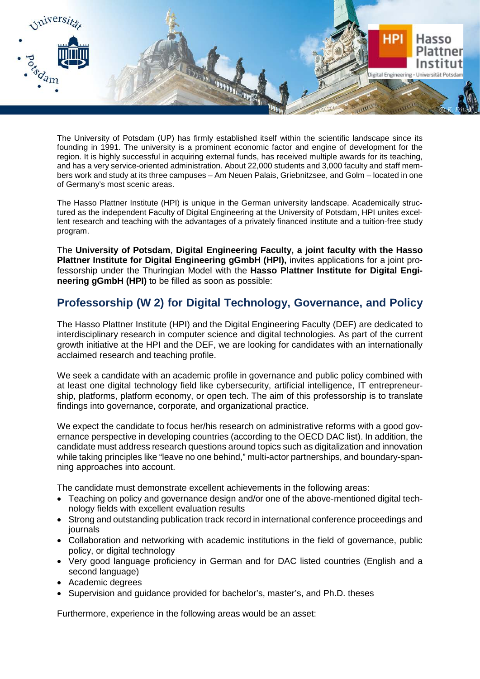

The University of Potsdam (UP) has firmly established itself within the scientific landscape since its founding in 1991. The university is a prominent economic factor and engine of development for the region. It is highly successful in acquiring external funds, has received multiple awards for its teaching, and has a very service-oriented administration. About 22,000 students and 3,000 faculty and staff members work and study at its three campuses – Am Neuen Palais, Griebnitzsee, and Golm – located in one of Germany's most scenic areas.

The Hasso Plattner Institute (HPI) is unique in the German university landscape. Academically structured as the independent Faculty of Digital Engineering at the University of Potsdam, HPI unites excellent research and teaching with the advantages of a privately financed institute and a tuition-free study program.

The **University of Potsdam**, **Digital Engineering Faculty, a joint faculty with the Hasso Plattner Institute for Digital Engineering gGmbH (HPI),** invites applications for a joint professorship under the Thuringian Model with the **Hasso Plattner Institute for Digital Engineering gGmbH (HPI)** to be filled as soon as possible:

## **Professorship (W 2) for Digital Technology, Governance, and Policy**

The Hasso Plattner Institute (HPI) and the Digital Engineering Faculty (DEF) are dedicated to interdisciplinary research in computer science and digital technologies. As part of the current growth initiative at the HPI and the DEF, we are looking for candidates with an internationally acclaimed research and teaching profile.

We seek a candidate with an academic profile in governance and public policy combined with at least one digital technology field like cybersecurity, artificial intelligence, IT entrepreneurship, platforms, platform economy, or open tech. The aim of this professorship is to translate findings into governance, corporate, and organizational practice.

We expect the candidate to focus her/his research on administrative reforms with a good governance perspective in developing countries (according to the OECD DAC list). In addition, the candidate must address research questions around topics such as digitalization and innovation while taking principles like "leave no one behind," multi-actor partnerships, and boundary-spanning approaches into account.

The candidate must demonstrate excellent achievements in the following areas:

- Teaching on policy and governance design and/or one of the above-mentioned digital technology fields with excellent evaluation results
- Strong and outstanding publication track record in international conference proceedings and journals
- Collaboration and networking with academic institutions in the field of governance, public policy, or digital technology
- Very good language proficiency in German and for DAC listed countries (English and a second language)
- Academic degrees
- Supervision and guidance provided for bachelor's, master's, and Ph.D. theses

Furthermore, experience in the following areas would be an asset: